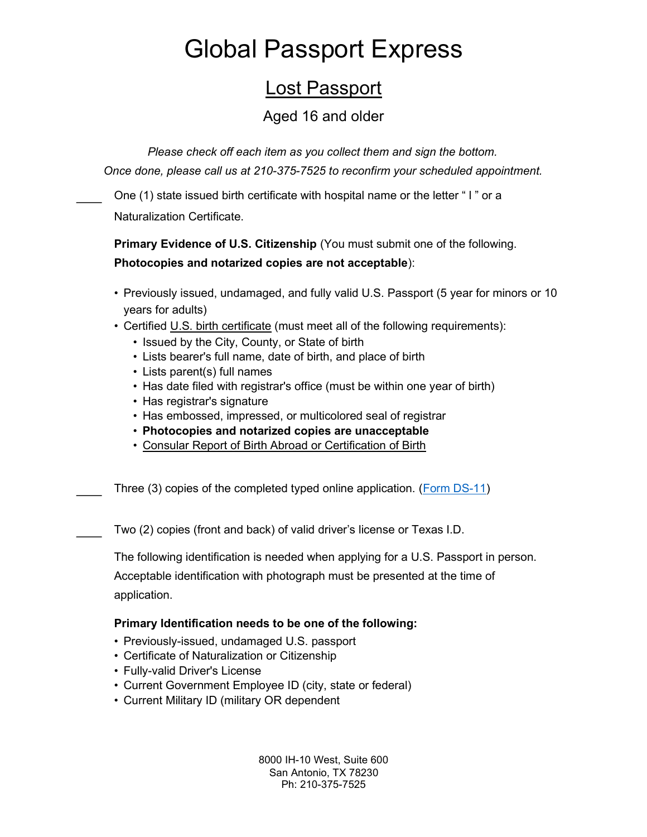## Lost Passport

#### Aged 16 and older

Please check off each item as you collect them and sign the bottom. Once done, please call us at 210-375-7525 to reconfirm your scheduled appointment.

One (1) state issued birth certificate with hospital name or the letter " l " or a Naturalization Certificate.

Primary Evidence of U.S. Citizenship (You must submit one of the following. Photocopies and notarized copies are not acceptable):

- Previously issued, undamaged, and fully valid U.S. Passport (5 year for minors or 10 years for adults)
- Certified U.S. birth certificate (must meet all of the following requirements):
	- Issued by the City, County, or State of birth
	- Lists bearer's full name, date of birth, and place of birth
	- Lists parent(s) full names
	- Has date filed with registrar's office (must be within one year of birth)
	- Has registrar's signature
	- Has embossed, impressed, or multicolored seal of registrar
	- Photocopies and notarized copies are unacceptable
	- Consular Report of Birth Abroad or Certification of Birth

Three (3) copies of the completed typed online application. (Form DS-11)

Two (2) copies (front and back) of valid driver's license or Texas I.D.

The following identification is needed when applying for a U.S. Passport in person.

Acceptable identification with photograph must be presented at the time of application.

#### Primary Identification needs to be one of the following:

- Previously-issued, undamaged U.S. passport
- Certificate of Naturalization or Citizenship
- Fully-valid Driver's License
- Current Government Employee ID (city, state or federal)
- Current Military ID (military OR dependent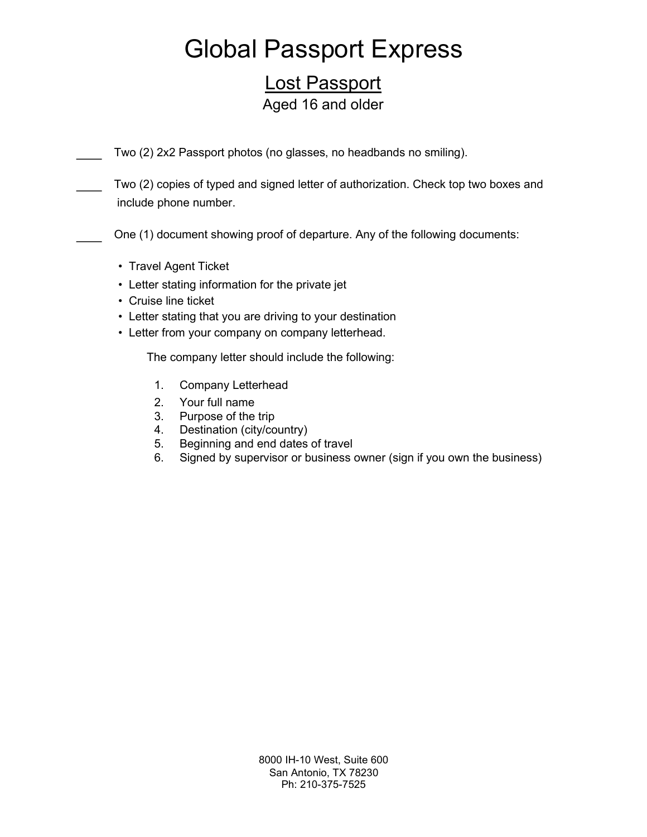### Lost Passport Aged 16 and older

Two (2) 2x2 Passport photos (no glasses, no headbands no smiling).

Two (2) copies of typed and signed letter of authorization. Check top two boxes and include phone number.

One (1) document showing proof of departure. Any of the following documents:

- Travel Agent Ticket
- Letter stating information for the private jet
- Cruise line ticket
- Letter stating that you are driving to your destination
- Letter from your company on company letterhead.

The company letter should include the following:

- 1. Company Letterhead
- 2. Your full name
- 3. Purpose of the trip
- 4. Destination (city/country)
- 5. Beginning and end dates of travel
- 6. Signed by supervisor or business owner (sign if you own the business)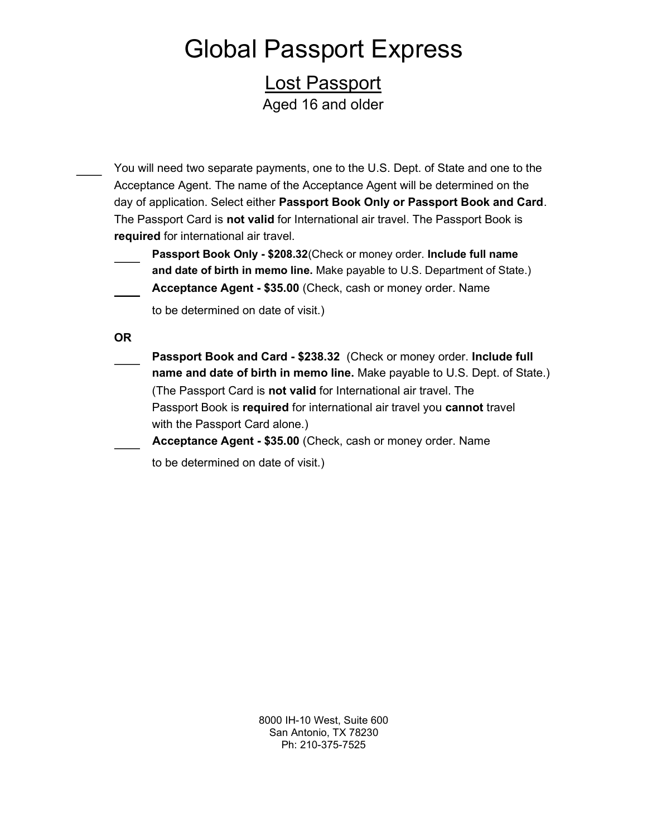Lost Passport Aged 16 and older

- You will need two separate payments, one to the U.S. Dept. of State and one to the Acceptance Agent. The name of the Acceptance Agent will be determined on the day of application. Select either Passport Book Only or Passport Book and Card. The Passport Card is **not valid** for International air travel. The Passport Book is required for international air travel.
	- Passport Book Only \$208.32(Check or money order. Include full name and date of birth in memo line. Make payable to U.S. Department of State.) Acceptance Agent - \$35.00 (Check, cash or money order. Name
		- - to be determined on date of visit.)
	- OR
		- Passport Book and Card \$238.32 (Check or money order. Include full name and date of birth in memo line. Make payable to U.S. Dept. of State.) (The Passport Card is not valid for International air travel. The Passport Book is required for international air travel you cannot travel with the Passport Card alone.)
			- Acceptance Agent \$35.00 (Check, cash or money order. Name
				- to be determined on date of visit.)